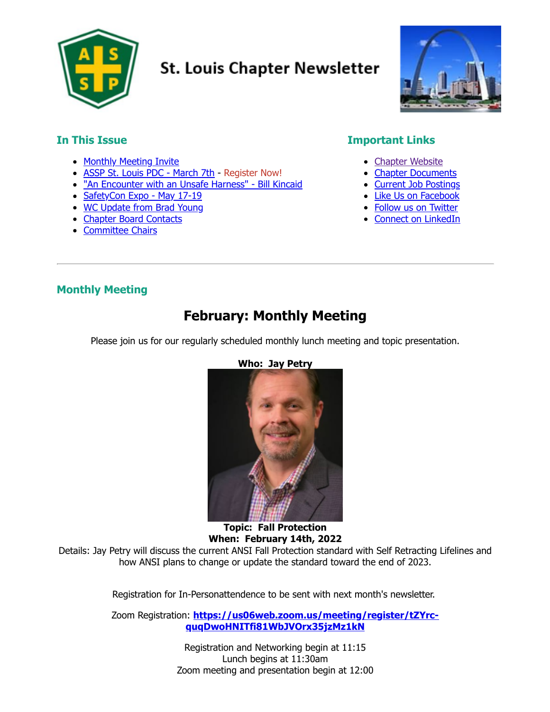

# **St. Louis Chapter Newsletter**



## **In This Issue**

- [Monthly Meeting Invite](#page-0-0)
- [ASSP St. Louis PDC](#page-1-0) March 7th Register Now!
- . ["An Encounter with an Unsafe Harness" -](#page-2-0) Bill Kincaid
- [SafetyCon Expo May 17-19](#page-4-0)
- [WC Update from Brad Young](#page-6-0)
- [Chapter Board Contacts](#page-8-0)
- [Committee Chairs](#page-8-1)

## **Important Links**

- [Chapter Website](https://stl.assp.org/)
- [Chapter Documents](https://stl.assp.org/files/)
- [Current Job Postings](https://stl.assp.org/current-openings/)
- [Like Us on Facebook](https://www.facebook.com/ASSESTL)
- [Follow us on Twitter](https://twitter.com/STLASSP)
- [Connect on LinkedIn](https://www.linkedin.com/company/57968)

## <span id="page-0-0"></span>**Monthly Meeting**

## **February: Monthly Meeting**

Please join us for our regularly scheduled monthly lunch meeting and topic presentation.



**Who: Jay Petry**

**When: February 14th, 2022** Details: Jay Petry will discuss the current ANSI Fall Protection standard with Self Retracting Lifelines and how ANSI plans to change or update the standard toward the end of 2023.

**Topic: Fall Protection**

Registration for In-Personattendence to be sent with next month's newsletter.

Zoom Registration: **[https://us06web.zoom.us/meeting/register/tZYrc](https://us06web.zoom.us/meeting/register/tZYrc-quqDwoHNITfi81WbJVOrx35jzMz1kN)quqDwoHNITfi81WbJVOrx35jzMz1kN**

> Registration and Networking begin at 11:15 Lunch begins at 11:30am Zoom meeting and presentation begin at 12:00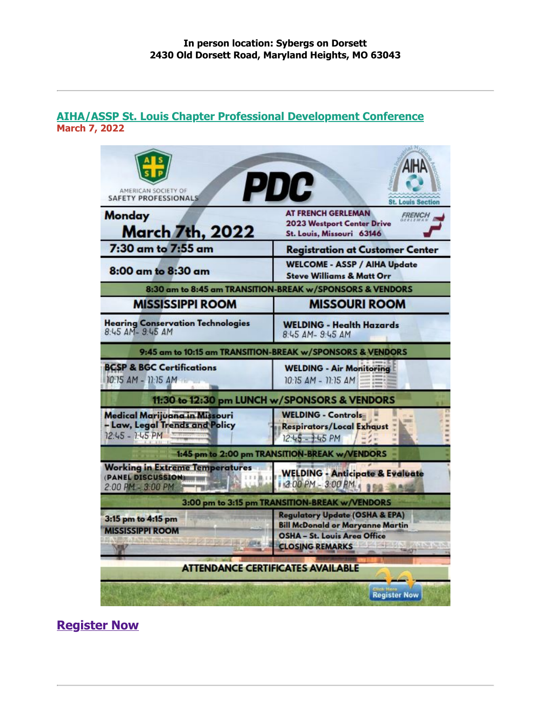#### <span id="page-1-0"></span>**AIHA/ASSP St. Louis Chapter Professional Development Conference March 7, 2022**

| AMERICAN SOCIETY OF<br><b>SAFETY PROFESSIONALS</b>                                 | <b>PDC</b><br><b>St. Louis Section</b>                                                                                                                |  |  |  |  |  |
|------------------------------------------------------------------------------------|-------------------------------------------------------------------------------------------------------------------------------------------------------|--|--|--|--|--|
| Monday<br>March 7th, 2022                                                          | <b>AT FRENCH GERLEMAN</b><br><b>FRENCH</b><br><b>2023 Westport Center Drive</b><br>St. Louis, Missouri 63146                                          |  |  |  |  |  |
| 7:30 am to 7:55 am                                                                 | <b>Registration at Customer Center</b>                                                                                                                |  |  |  |  |  |
| 8:00 am to 8:30 am                                                                 | <b>WELCOME - ASSP / AIHA Update</b><br><b>Steve Williams &amp; Matt Orr</b>                                                                           |  |  |  |  |  |
|                                                                                    | 8:30 am to 8:45 am TRANSITION-BREAK w/SPONSORS & VENDORS                                                                                              |  |  |  |  |  |
| <b>MISSISSIPPI ROOM</b>                                                            | <b>MISSOURI ROOM</b>                                                                                                                                  |  |  |  |  |  |
| <b>Hearing Conservation Technologies</b><br>8:45 AM-9:45 AM                        | <b>WELDING - Health Hazards</b><br>8:45 AM- 9:45 AM                                                                                                   |  |  |  |  |  |
|                                                                                    | 9:45 am to 10:15 am TRANSITION-BREAK w/SPONSORS & VENDORS                                                                                             |  |  |  |  |  |
| <b>BCSP &amp; BGC Certifications</b><br>10:15 AM - 11:15 AM                        | <b>WELDING - Air Monitoring</b><br>10:15 AM - 11:15 AM                                                                                                |  |  |  |  |  |
|                                                                                    | 11:30 to 12:30 pm LUNCH w/SPONSORS & VENDORS                                                                                                          |  |  |  |  |  |
| Medical Marijuana in Missouri<br>- Law, Legal Trends and Policy<br>12:45 - 1:45 PM | <b>WELDING - Controls</b><br>Respirators/Local Exhaust<br>$12.45 - 1.45$ PM                                                                           |  |  |  |  |  |
|                                                                                    | 1:45 pm to 2:00 pm TRANSITION-BREAK w/VENDORS                                                                                                         |  |  |  |  |  |
| <b>Working in Extreme Temperatures</b><br>(PANEL DISCUSSION)<br>2:00 PM - 3:00 PM  | <b>WELDING - Anticipate &amp; Evaluate</b><br>1 2:00 PM - 3:00 PM                                                                                     |  |  |  |  |  |
|                                                                                    | 3:00 pm to 3:15 pm TRANSITION-BREAK w/VENDORS                                                                                                         |  |  |  |  |  |
| 3:15 pm to 4:15 pm<br><b>MISSISSIPPI ROOM</b>                                      | <b>Regulatory Update (OSHA &amp; EPA)</b><br><b>Bill McDonald or Maryanne Martin</b><br><b>OSHA - St. Louis Area Office</b><br><b>CLOSING REMARKS</b> |  |  |  |  |  |
|                                                                                    | <b>ATTENDANCE CERTIFICATES AVAILABLE</b>                                                                                                              |  |  |  |  |  |
|                                                                                    | <b>Register Now</b>                                                                                                                                   |  |  |  |  |  |

**[Register Now](https://www.eventbrite.com/e/2021-fall-pdc-aihaassp-tickets-166162776337)**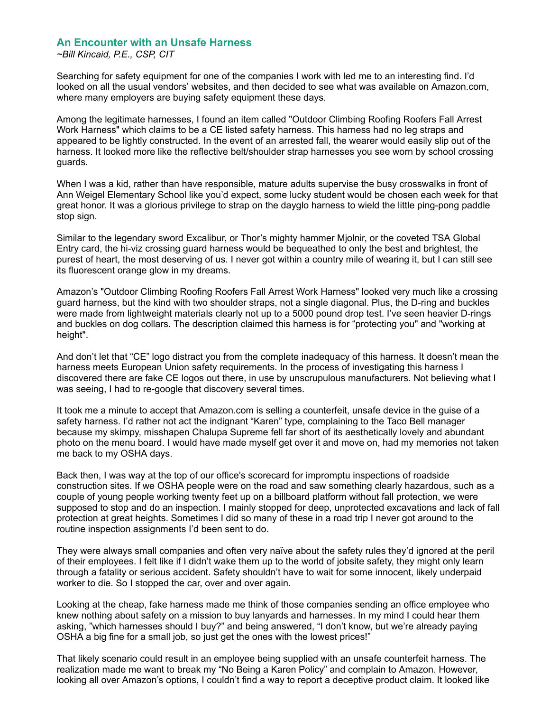#### <span id="page-2-0"></span>**An Encounter with an Unsafe Harness**

*~Bill Kincaid, P.E., CSP, CIT*

Searching for safety equipment for one of the companies I work with led me to an interesting find. I'd looked on all the usual vendors' websites, and then decided to see what was available on Amazon.com, where many employers are buying safety equipment these days.

Among the legitimate harnesses, I found an item called "Outdoor Climbing Roofing Roofers Fall Arrest Work Harness" which claims to be a CE listed safety harness. This harness had no leg straps and appeared to be lightly constructed. In the event of an arrested fall, the wearer would easily slip out of the harness. It looked more like the reflective belt/shoulder strap harnesses you see worn by school crossing guards.

When I was a kid, rather than have responsible, mature adults supervise the busy crosswalks in front of Ann Weigel Elementary School like you'd expect, some lucky student would be chosen each week for that great honor. It was a glorious privilege to strap on the dayglo harness to wield the little ping-pong paddle stop sign.

Similar to the legendary sword Excalibur, or Thor's mighty hammer Mjolnir, or the coveted TSA Global Entry card, the hi-viz crossing guard harness would be bequeathed to only the best and brightest, the purest of heart, the most deserving of us. I never got within a country mile of wearing it, but I can still see its fluorescent orange glow in my dreams.

Amazon's "Outdoor Climbing Roofing Roofers Fall Arrest Work Harness" looked very much like a crossing guard harness, but the kind with two shoulder straps, not a single diagonal. Plus, the D-ring and buckles were made from lightweight materials clearly not up to a 5000 pound drop test. I've seen heavier D-rings and buckles on dog collars. The description claimed this harness is for "protecting you" and "working at height".

And don't let that "CE" logo distract you from the complete inadequacy of this harness. It doesn't mean the harness meets European Union safety requirements. In the process of investigating this harness I discovered there are fake CE logos out there, in use by unscrupulous manufacturers. Not believing what I was seeing, I had to re-google that discovery several times.

It took me a minute to accept that Amazon.com is selling a counterfeit, unsafe device in the guise of a safety harness. I'd rather not act the indignant "Karen" type, complaining to the Taco Bell manager because my skimpy, misshapen Chalupa Supreme fell far short of its aesthetically lovely and abundant photo on the menu board. I would have made myself get over it and move on, had my memories not taken me back to my OSHA days.

Back then, I was way at the top of our office's scorecard for impromptu inspections of roadside construction sites. If we OSHA people were on the road and saw something clearly hazardous, such as a couple of young people working twenty feet up on a billboard platform without fall protection, we were supposed to stop and do an inspection. I mainly stopped for deep, unprotected excavations and lack of fall protection at great heights. Sometimes I did so many of these in a road trip I never got around to the routine inspection assignments I'd been sent to do.

They were always small companies and often very naïve about the safety rules they'd ignored at the peril of their employees. I felt like if I didn't wake them up to the world of jobsite safety, they might only learn through a fatality or serious accident. Safety shouldn't have to wait for some innocent, likely underpaid worker to die. So I stopped the car, over and over again.

Looking at the cheap, fake harness made me think of those companies sending an office employee who knew nothing about safety on a mission to buy lanyards and harnesses. In my mind I could hear them asking, "which harnesses should I buy?" and being answered, "I don't know, but we're already paying OSHA a big fine for a small job, so just get the ones with the lowest prices!"

That likely scenario could result in an employee being supplied with an unsafe counterfeit harness. The realization made me want to break my "No Being a Karen Policy" and complain to Amazon. However, looking all over Amazon's options, I couldn't find a way to report a deceptive product claim. It looked like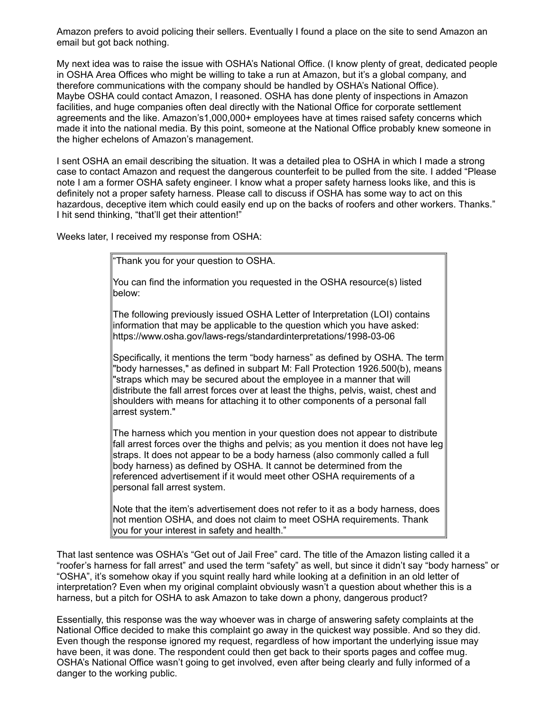Amazon prefers to avoid policing their sellers. Eventually I found a place on the site to send Amazon an email but got back nothing.

My next idea was to raise the issue with OSHA's National Office. (I know plenty of great, dedicated people in OSHA Area Offices who might be willing to take a run at Amazon, but it's a global company, and therefore communications with the company should be handled by OSHA's National Office). Maybe OSHA could contact Amazon, I reasoned. OSHA has done plenty of inspections in Amazon facilities, and huge companies often deal directly with the National Office for corporate settlement agreements and the like. Amazon's1,000,000+ employees have at times raised safety concerns which made it into the national media. By this point, someone at the National Office probably knew someone in the higher echelons of Amazon's management.

I sent OSHA an email describing the situation. It was a detailed plea to OSHA in which I made a strong case to contact Amazon and request the dangerous counterfeit to be pulled from the site. I added "Please note I am a former OSHA safety engineer. I know what a proper safety harness looks like, and this is definitely not a proper safety harness. Please call to discuss if OSHA has some way to act on this hazardous, deceptive item which could easily end up on the backs of roofers and other workers. Thanks." I hit send thinking, "that'll get their attention!"

Weeks later, I received my response from OSHA:

"Thank you for your question to OSHA.

You can find the information you requested in the OSHA resource(s) listed below:

The following previously issued OSHA Letter of Interpretation (LOI) contains information that may be applicable to the question which you have asked: https://www.osha.gov/laws-regs/standardinterpretations/1998-03-06

Specifically, it mentions the term "body harness" as defined by OSHA. The term "body harnesses," as defined in subpart M: Fall Protection 1926.500(b), means "straps which may be secured about the employee in a manner that will distribute the fall arrest forces over at least the thighs, pelvis, waist, chest and shoulders with means for attaching it to other components of a personal fall arrest system."

The harness which you mention in your question does not appear to distribute fall arrest forces over the thighs and pelvis; as you mention it does not have leg straps. It does not appear to be a body harness (also commonly called a full body harness) as defined by OSHA. It cannot be determined from the referenced advertisement if it would meet other OSHA requirements of a personal fall arrest system.

Note that the item's advertisement does not refer to it as a body harness, does not mention OSHA, and does not claim to meet OSHA requirements. Thank you for your interest in safety and health."

That last sentence was OSHA's "Get out of Jail Free" card. The title of the Amazon listing called it a "roofer's harness for fall arrest" and used the term "safety" as well, but since it didn't say "body harness" or "OSHA", it's somehow okay if you squint really hard while looking at a definition in an old letter of interpretation? Even when my original complaint obviously wasn't a question about whether this is a harness, but a pitch for OSHA to ask Amazon to take down a phony, dangerous product?

Essentially, this response was the way whoever was in charge of answering safety complaints at the National Office decided to make this complaint go away in the quickest way possible. And so they did. Even though the response ignored my request, regardless of how important the underlying issue may have been, it was done. The respondent could then get back to their sports pages and coffee mug. OSHA's National Office wasn't going to get involved, even after being clearly and fully informed of a danger to the working public.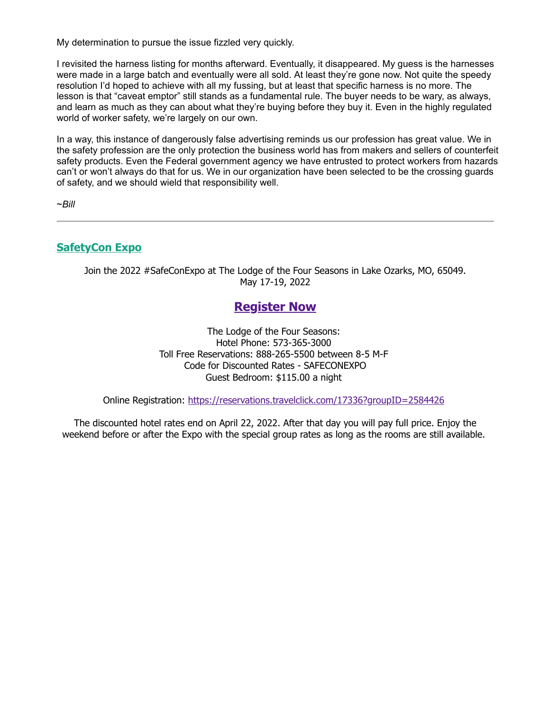My determination to pursue the issue fizzled very quickly.

I revisited the harness listing for months afterward. Eventually, it disappeared. My guess is the harnesses were made in a large batch and eventually were all sold. At least they're gone now. Not quite the speedy resolution I'd hoped to achieve with all my fussing, but at least that specific harness is no more. The lesson is that "caveat emptor" still stands as a fundamental rule. The buyer needs to be wary, as always, and learn as much as they can about what they're buying before they buy it. Even in the highly regulated world of worker safety, we're largely on our own.

In a way, this instance of dangerously false advertising reminds us our profession has great value. We in the safety profession are the only protection the business world has from makers and sellers of counterfeit safety products. Even the Federal government agency we have entrusted to protect workers from hazards can't or won't always do that for us. We in our organization have been selected to be the crossing guards of safety, and we should wield that responsibility well.

~*Bill*

### <span id="page-4-0"></span>**SafetyCon Expo**

Join the 2022 #SafeConExpo at The Lodge of the Four Seasons in Lake Ozarks, MO, 65049. May 17-19, 2022

## **[Register Now](https://shcmoks.com/safeconexpo/register.aspx)**

The Lodge of the Four Seasons: Hotel Phone: 573-365-3000 Toll Free Reservations: 888-265-5500 between 8-5 M-F Code for Discounted Rates - SAFECONEXPO Guest Bedroom: \$115.00 a night

Online Registration: <https://reservations.travelclick.com/17336?groupID=2584426>

The discounted hotel rates end on April 22, 2022. After that day you will pay full price. Enjoy the weekend before or after the Expo with the special group rates as long as the rooms are still available.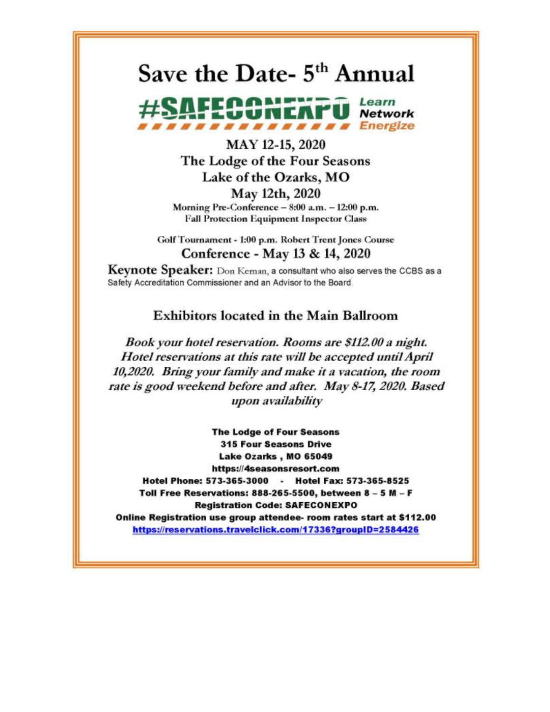# Save the Date- 5<sup>th</sup> Annual



## MAY 12-15, 2020 The Lodge of the Four Seasons Lake of the Ozarks, MO May 12th, 2020 Morning Pre-Conference - 8:00 a.m. - 12:00 p.m. **Fall Protection Equipment Inspector Class**

Golf Tournament - 1:00 p.m. Robert Trent Jones Course Conference - May 13 & 14, 2020

Keynote Speaker: Don Keman, a consultant who also serves the CCBS as a Safety Accreditation Commissioner and an Advisor to the Board.

## **Exhibitors located in the Main Ballroom**

Book your hotel reservation. Rooms are \$112.00 a night. Hotel reservations at this rate will be accepted until April 10,2020. Bring your family and make it a vacation, the room rate is good weekend before and after. May 8-17, 2020. Based upon availability

**The Lodge of Four Seasons 315 Four Seasons Drive** Lake Ozarks, MO 65049 https://4seasonsresort.com Hotel Phone: 573-365-3000 - Hotel Fax: 573-365-8525 Toll Free Reservations: 888-265-5500, between 8 - 5 M - F **Registration Code: SAFECONEXPO** Online Registration use group attendee- room rates start at \$112.00 https://reservations.travelclick.com/17336?groupID=2584426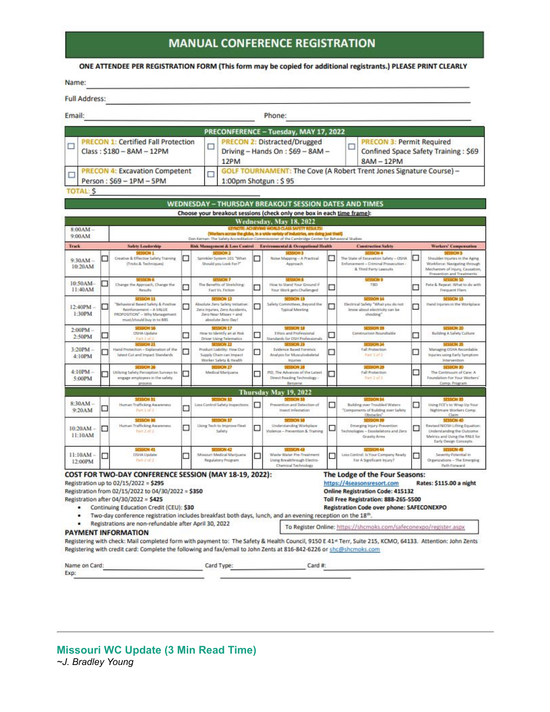## **MANUAL CONFERENCE REGISTRATION**

#### ONE ATTENDEE PER REGISTRATION FORM (This form may be copied for additional registrants.) PLEASE PRINT CLEARLY

| Name:                                                                        |   |                                                                                                                                                                                                                                                                                                                                                                                                                                                             |    |                                                                                                                                  |    |                                                                                                                                                                 |   |                                                                                                                                                                                                                                                                                                                                                                                                                               |   |                                                                                                                                                                       |  |
|------------------------------------------------------------------------------|---|-------------------------------------------------------------------------------------------------------------------------------------------------------------------------------------------------------------------------------------------------------------------------------------------------------------------------------------------------------------------------------------------------------------------------------------------------------------|----|----------------------------------------------------------------------------------------------------------------------------------|----|-----------------------------------------------------------------------------------------------------------------------------------------------------------------|---|-------------------------------------------------------------------------------------------------------------------------------------------------------------------------------------------------------------------------------------------------------------------------------------------------------------------------------------------------------------------------------------------------------------------------------|---|-----------------------------------------------------------------------------------------------------------------------------------------------------------------------|--|
| <b>Full Address:</b>                                                         |   |                                                                                                                                                                                                                                                                                                                                                                                                                                                             |    |                                                                                                                                  |    |                                                                                                                                                                 |   |                                                                                                                                                                                                                                                                                                                                                                                                                               |   |                                                                                                                                                                       |  |
| Email:                                                                       |   |                                                                                                                                                                                                                                                                                                                                                                                                                                                             |    |                                                                                                                                  |    | Phone:                                                                                                                                                          |   |                                                                                                                                                                                                                                                                                                                                                                                                                               |   |                                                                                                                                                                       |  |
|                                                                              |   |                                                                                                                                                                                                                                                                                                                                                                                                                                                             |    |                                                                                                                                  |    | PRECONFERENCE - Tuesday, MAY 17, 2022                                                                                                                           |   |                                                                                                                                                                                                                                                                                                                                                                                                                               |   |                                                                                                                                                                       |  |
| <b>PRECON 1: Certified Fall Protection</b><br>□<br>Class: \$180 - 8AM - 12PM |   |                                                                                                                                                                                                                                                                                                                                                                                                                                                             |    | □<br>12PM                                                                                                                        |    | <b>PRECON 2: Distracted/Drugged</b><br>Driving - Hands On: \$69 - 8AM -                                                                                         |   | <b>PRECON 3: Permit Required</b><br>□<br>Confined Space Safety Training: \$69<br>$8AM - 12PM$                                                                                                                                                                                                                                                                                                                                 |   |                                                                                                                                                                       |  |
| □                                                                            |   | <b>PRECON 4: Excavation Competent</b><br>Person: \$69 - 1PM - 5PM                                                                                                                                                                                                                                                                                                                                                                                           | П  | <b>GOLF TOURNAMENT: The Cove (A Robert Trent Jones Signature Course) -</b><br>1:00pm Shotgun: \$95                               |    |                                                                                                                                                                 |   |                                                                                                                                                                                                                                                                                                                                                                                                                               |   |                                                                                                                                                                       |  |
| <b>TOTAL: S</b>                                                              |   |                                                                                                                                                                                                                                                                                                                                                                                                                                                             |    |                                                                                                                                  |    |                                                                                                                                                                 |   |                                                                                                                                                                                                                                                                                                                                                                                                                               |   |                                                                                                                                                                       |  |
|                                                                              |   |                                                                                                                                                                                                                                                                                                                                                                                                                                                             |    |                                                                                                                                  |    | <b>WEDNESDAY - THURSDAY BREAKOUT SESSION DATES AND TIMES</b>                                                                                                    |   |                                                                                                                                                                                                                                                                                                                                                                                                                               |   |                                                                                                                                                                       |  |
|                                                                              |   |                                                                                                                                                                                                                                                                                                                                                                                                                                                             |    |                                                                                                                                  |    | Choose your breakout sessions (check only one box in each time frame):                                                                                          |   |                                                                                                                                                                                                                                                                                                                                                                                                                               |   |                                                                                                                                                                       |  |
| 8:00AM-                                                                      |   |                                                                                                                                                                                                                                                                                                                                                                                                                                                             |    |                                                                                                                                  |    | Wednesday, May 18, 2022<br>SEVINDTE: ACHIEVING WORLD CLASS SAFETY RESULTS!<br>(Workers across the globe, in a wide veriety of industries, are doing just that!) |   |                                                                                                                                                                                                                                                                                                                                                                                                                               |   |                                                                                                                                                                       |  |
| 9:00AM<br><b>Track</b>                                                       |   |                                                                                                                                                                                                                                                                                                                                                                                                                                                             |    |                                                                                                                                  |    | Don Kennan: The Safety Accreditation Commitatorier of the Cambridge Center for Behavioral Studies                                                               |   |                                                                                                                                                                                                                                                                                                                                                                                                                               |   |                                                                                                                                                                       |  |
| $9:30AM -$<br>10-20AM                                                        |   | <b>Safety Leadership</b><br>SESSION 1<br>Creative & Effective Safety Training<br>(Tricks & Techniques)                                                                                                                                                                                                                                                                                                                                                      | г. | Risk Management & Loss Control<br><b>JESSION 2</b><br>Sprinkler System 101 "What<br>Should you Look For ?"                       | L. | <b>Environmental &amp; Occupational Health</b><br>SESSION 3<br>Noise Mapping - A Practical<br>Approach                                                          |   | <b>Construction Safety</b><br><b>SESSION 4</b><br>The State of Excavation Safety - OSHA<br>Enforcement - Criminal Prosecution -<br>& Third Party Lewouth                                                                                                                                                                                                                                                                      |   | Workers' Compensation<br>SESSION 5<br>Shoulder Injuries in the Aging<br>Workforce: Navigating through<br>Mechanism of Injury, Causation,<br>Prevention and Treatments |  |
| 10:50AM-<br>11:40AM                                                          |   | SEXSION 6<br>Change the Approach, Change the<br>Texaba                                                                                                                                                                                                                                                                                                                                                                                                      | □  | 53453010 7<br>The Benefits of Stretching:<br>Fact Vs. Fiction                                                                    | □  | How to Stand Your Ground if<br>Your Work gets Challenged                                                                                                        | □ | SESSICIN 9<br>TBD                                                                                                                                                                                                                                                                                                                                                                                                             | □ | SUSSICIN 1D<br>Pete & Repeat: What to do with<br>Frequent Fliers                                                                                                      |  |
| $12:40PM -$<br>1:30PM                                                        |   | <b>SESSION 31</b><br>"Behavioral Based Safety & Positive<br>Reinforcement - A VALUE<br>PROPOSITION" - Why Management.<br>must/should buy in to 685                                                                                                                                                                                                                                                                                                          |    | SESSION 12<br>Absolute Zero Safety Initiative:<br>Zero Injuries, Zero Accidents,<br>Zero Near Missey - and<br>absolute Zero Day! | □  | SESSION 13<br>Safety Committees, Beyond the<br><b>Typical Meeting</b>                                                                                           |   | <b>SESSION 14</b><br>Electrical Safety "What you do not<br>know about electricity can be<br>shocking"                                                                                                                                                                                                                                                                                                                         |   | <b>SESSION 15</b><br>Hand Injuries in the Workplace                                                                                                                   |  |
| $2:00$ PM $-$<br>2:50PM                                                      | □ | <b>SESSION 36</b><br>CISHA Update<br>Part I of 2                                                                                                                                                                                                                                                                                                                                                                                                            | E. | SEXSON 17<br>How to Identify an at Risk<br>Driver Lising Telematics                                                              | □  | SESSION 18<br>Ethics and Professional<br>Standards for OSH Professionals                                                                                        | Ω | SESSION 29<br>Construction Roundtable                                                                                                                                                                                                                                                                                                                                                                                         | ⊓ | SESSION 20<br>Building A Safety Culture                                                                                                                               |  |
| $3:20PM -$<br>4:10PM                                                         |   | SESSION 21<br>Hand Protection - Explanation of the<br>latest Cut and Impact Standards.                                                                                                                                                                                                                                                                                                                                                                      |    | SESSION 22<br>Product Liability: How Dur<br>Supply Chain can Impact<br>Worker Safety & Health                                    | ◻  | SESSION 23<br>Evidence Based Forensic<br>Analysis for Musculoskeletal<br>Initiation                                                                             |   | <b>SESSION 24</b><br>Fall Protection<br>Part 1 of 2                                                                                                                                                                                                                                                                                                                                                                           | □ | SESSION 25<br>Managing OSHA Recordable<br>Injuries using Early Symptom<br>Intervention                                                                                |  |
| $4:10PM -$<br>5:00PM                                                         |   | SESSION 26<br>Utilizing Safety Perception Surveys to<br>angage employees in the safety<br>process                                                                                                                                                                                                                                                                                                                                                           | □  | <b>RESEARCH 27</b><br>Medical Marijuana                                                                                          | n. | <b>SESSION 39</b><br>PID; The Advances of the Latest<br>Direct Reading Technology -<br>Benzene                                                                  |   | SESSION 29<br>Fall Protection<br>Part 2 of 2                                                                                                                                                                                                                                                                                                                                                                                  | □ | SESSION ED<br>The Continuum of Care: A<br>Foundation For Your Workers'<br>Corrip. Program                                                                             |  |
|                                                                              |   |                                                                                                                                                                                                                                                                                                                                                                                                                                                             |    |                                                                                                                                  |    | Thursday May 19, 2022                                                                                                                                           |   |                                                                                                                                                                                                                                                                                                                                                                                                                               |   |                                                                                                                                                                       |  |
| $8:30AM -$<br>9:20AM                                                         | ◻ | <b>SESSION 31</b><br>Human Trafficking Awareness<br>Part 1 of 2                                                                                                                                                                                                                                                                                                                                                                                             | □  | Loss Control Safety Impections                                                                                                   | □  | Prevention and Detection of<br>Insect Infestation                                                                                                               | □ | <b>JERODIN SA</b><br>Building over Troubled Waters<br>"Components of Building over Safety<br>Chinades"                                                                                                                                                                                                                                                                                                                        | □ | <b>SPISSION 35</b><br>Using FCE's to Wrap Up Your<br>Nightmare Workers Comp.<br><b>Claim</b>                                                                          |  |
| $10:20AM -$<br>11:10AM                                                       | □ | SESSION 36<br>Human Trafficking Awareness<br>Part 2 if 2                                                                                                                                                                                                                                                                                                                                                                                                    | П  | <b>MACIN 37</b><br>Using Tech to Improve Fleet.<br>Safety                                                                        | □  | Understanding Workplace<br>Violence - Prevention & Training                                                                                                     |   | Emerging Injury Prevention<br>Technologies - Exoskelatons and Zero<br>Gravity Arms                                                                                                                                                                                                                                                                                                                                            | п | Revised NEOSH Lifting Equation:<br>Understanding the Outcome<br>Metrics and Using the RNLE for<br>Early Design Concepts                                               |  |
| $11:10AM -$<br>12:00PM                                                       |   | <b>SESSION 41</b><br>DSP6A Update<br>Parts 2 of 2                                                                                                                                                                                                                                                                                                                                                                                                           |    | SEXICAL 47<br>Missouri Medical Martjuana<br><b>Regulatory Program</b>                                                            |    | SESSION 43<br>Waste Water Pre-Treatment<br>Uning Breakthrough Electro-<br>Chemical Technology                                                                   |   | SESSIONI 44<br>Loux Control: In Your Company Ready<br>For A Significant Injury?                                                                                                                                                                                                                                                                                                                                               |   | <b>SESSICIN 45</b><br>Severity Patential in<br>Organizations - The Emerging<br>Path Forward                                                                           |  |
| ٠<br>٠                                                                       |   | COST FOR TWO-DAY CONFERENCE SESSION (MAY 18-19, 2022):<br>Registration up to 02/15/2022 = \$295<br>Registration from 02/15/2022 to 04/30/2022 = \$350<br>Registration after 04/30/2022 = \$425<br>Continuing Education Credit (CEU): \$30<br>Two-day conference registration includes breakfast both days, lunch, and an evening reception on the 18 <sup>th</sup> .<br>Registrations are non-refundable after April 30, 2022<br><b>PAYMENT INFORMATION</b> |    |                                                                                                                                  |    |                                                                                                                                                                 |   | The Lodge of the Four Seasons:<br>https://4seasonsresort.com<br><b>Online Registration Code: 415132</b><br>Toll Free Registration: 888-265-5500<br>Registration Code over phone: SAFECONEXPO<br>To Register Online: https://shcmoks.com/safeconexpo/register.aspx<br>Registering with check: Mail completed form with payment to: The Safety & Health Council, 9150 E 41* Terr, Suite 215, KCMO, 64133. Attention: John Zents |   | Rates: \$115.00 a night                                                                                                                                               |  |

<span id="page-6-0"></span>**Missouri WC Update (3 Min Read Time)** *~J. Bradley Young*

Exp: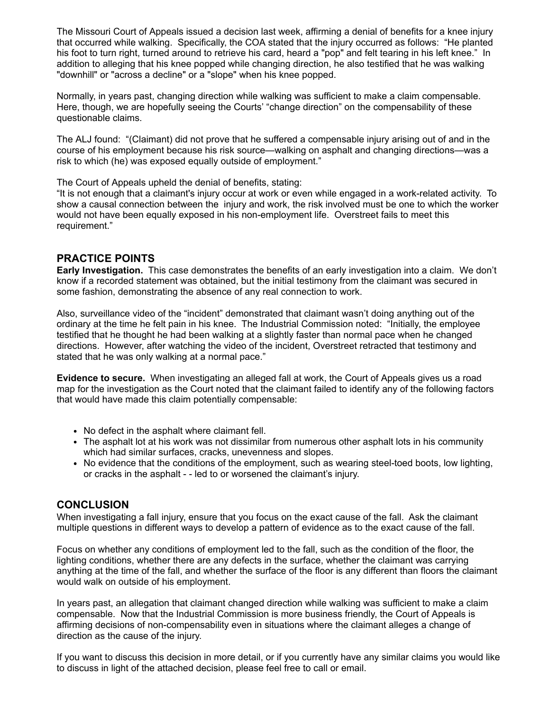The Missouri Court of Appeals issued a decision last week, affirming a denial of benefits for a knee injury that occurred while walking. Specifically, the COA stated that the injury occurred as follows: "He planted his foot to turn right, turned around to retrieve his card, heard a "pop" and felt tearing in his left knee." In addition to alleging that his knee popped while changing direction, he also testified that he was walking "downhill" or "across a decline" or a "slope" when his knee popped.

Normally, in years past, changing direction while walking was sufficient to make a claim compensable. Here, though, we are hopefully seeing the Courts' "change direction" on the compensability of these questionable claims.

The ALJ found: "(Claimant) did not prove that he suffered a compensable injury arising out of and in the course of his employment because his risk source—walking on asphalt and changing directions—was a risk to which (he) was exposed equally outside of employment."

The Court of Appeals upheld the denial of benefits, stating:

"It is not enough that a claimant's injury occur at work or even while engaged in a work-related activity. To show a causal connection between the injury and work, the risk involved must be one to which the worker would not have been equally exposed in his non-employment life. Overstreet fails to meet this requirement."

#### **PRACTICE POINTS**

**Early Investigation.** This case demonstrates the benefits of an early investigation into a claim. We don't know if a recorded statement was obtained, but the initial testimony from the claimant was secured in some fashion, demonstrating the absence of any real connection to work.

Also, surveillance video of the "incident" demonstrated that claimant wasn't doing anything out of the ordinary at the time he felt pain in his knee. The Industrial Commission noted: "Initially, the employee testified that he thought he had been walking at a slightly faster than normal pace when he changed directions. However, after watching the video of the incident, Overstreet retracted that testimony and stated that he was only walking at a normal pace."

**Evidence to secure.** When investigating an alleged fall at work, the Court of Appeals gives us a road map for the investigation as the Court noted that the claimant failed to identify any of the following factors that would have made this claim potentially compensable:

- No defect in the asphalt where claimant fell.
- The asphalt lot at his work was not dissimilar from numerous other asphalt lots in his community which had similar surfaces, cracks, unevenness and slopes.
- No evidence that the conditions of the employment, such as wearing steel-toed boots, low lighting, or cracks in the asphalt - - led to or worsened the claimant's injury.

#### **CONCLUSION**

When investigating a fall injury, ensure that you focus on the exact cause of the fall. Ask the claimant multiple questions in different ways to develop a pattern of evidence as to the exact cause of the fall.

Focus on whether any conditions of employment led to the fall, such as the condition of the floor, the lighting conditions, whether there are any defects in the surface, whether the claimant was carrying anything at the time of the fall, and whether the surface of the floor is any different than floors the claimant would walk on outside of his employment.

In years past, an allegation that claimant changed direction while walking was sufficient to make a claim compensable. Now that the Industrial Commission is more business friendly, the Court of Appeals is affirming decisions of non-compensability even in situations where the claimant alleges a change of direction as the cause of the injury.

If you want to discuss this decision in more detail, or if you currently have any similar claims you would like to discuss in light of the attached decision, please feel free to call or email.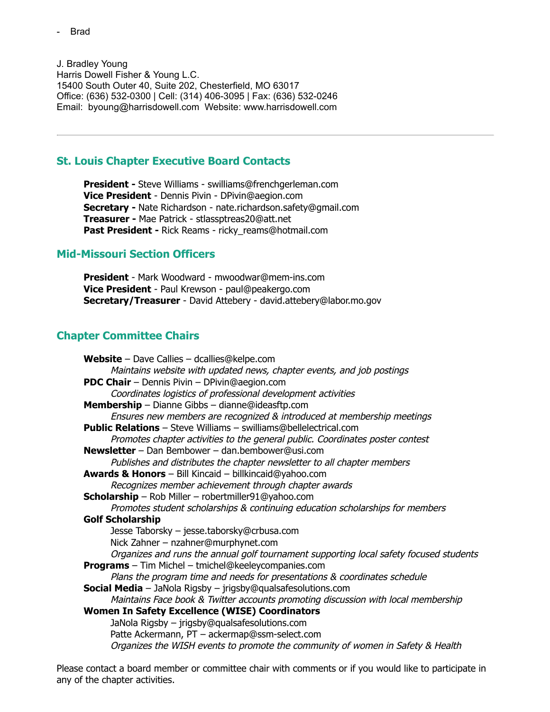J. Bradley Young Harris Dowell Fisher & Young L.C. 15400 South Outer 40, Suite 202, Chesterfield, MO 63017 Office: (636) 532-0300 | Cell: (314) 406-3095 | Fax: (636) 532-0246 Email: byoung@harrisdowell.com Website: www.harrisdowell.com

#### <span id="page-8-0"></span>**St. Louis Chapter Executive Board Contacts**

**President -** Steve Williams - swilliams@frenchgerleman.com **Vice President** - Dennis Pivin - DPivin@aegion.com **Secretary -** Nate Richardson - nate.richardson.safety@gmail.com **Treasurer -** Mae Patrick - stlassptreas20@att.net **Past President -** Rick Reams - ricky\_reams@hotmail.com

#### **Mid-Missouri Section Officers**

**President** - Mark Woodward - mwoodwar@mem-ins.com **Vice President** - Paul Krewson - paul@peakergo.com **Secretary/Treasurer** - David Attebery - david.attebery@labor.mo.gov

#### <span id="page-8-1"></span>**Chapter Committee Chairs**

**Website** – Dave Callies – dcallies@kelpe.com Maintains website with updated news, chapter events, and job postings **PDC Chair** – Dennis Pivin – DPivin@aegion.com Coordinates logistics of professional development activities **Membership** – Dianne Gibbs – dianne@ideasftp.com Ensures new members are recognized & introduced at membership meetings **Public Relations** – Steve Williams – swilliams@bellelectrical.com Promotes chapter activities to the general public. Coordinates poster contest **Newsletter** – Dan Bembower – dan.bembower@usi.com Publishes and distributes the chapter newsletter to all chapter members **Awards & Honors** – Bill Kincaid – billkincaid@yahoo.com Recognizes member achievement through chapter awards **Scholarship** – Rob Miller – robertmiller91@yahoo.com Promotes student scholarships & continuing education scholarships for members **Golf Scholarship** Jesse Taborsky – jesse.taborsky@crbusa.com Nick Zahner – nzahner@murphynet.com Organizes and runs the annual golf tournament supporting local safety focused students **Programs** – Tim Michel – tmichel@keeleycompanies.com Plans the program time and needs for presentations & coordinates schedule **Social Media** – JaNola Rigsby – jrigsby@qualsafesolutions.com Maintains Face book & Twitter accounts promoting discussion with local membership **Women In Safety Excellence (WISE) Coordinators** JaNola Rigsby – jrigsby@qualsafesolutions.com Patte Ackermann, PT – ackermap@ssm-select.com Organizes the WISH events to promote the community of women in Safety & Health

Please contact a board member or committee chair with comments or if you would like to participate in any of the chapter activities.